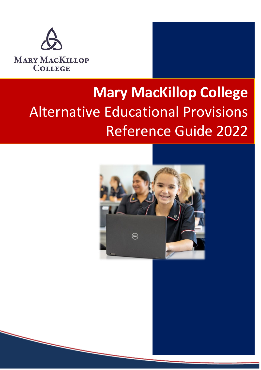

# **Alternative Educational Provisions Mary MacKillop College**  Alternative Educational Provisions Reference Guide 2022

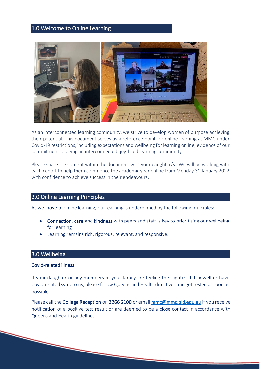# 1.0 Welcome to Online Learning



As an interconnected learning community, we strive to develop women of purpose achieving their potential. This document serves as a reference point for online learning at MMC under Covid-19 restrictions, including expectations and wellbeing for learning online, evidence of our commitment to being an interconnected, joy-filled learning community.

Please share the content within the document with your daughter/s. We will be working with each cohort to help them commence the academic year online from Monday 31 January 2022 with confidence to achieve success in their endeavours.

# 2.0 Online Learning Principles

As we move to online learning, our learning is underpinned by the following principles:

- Connection, care and kindness with peers and staff is key to prioritising our wellbeing for learning
- Learning remains rich, rigorous, relevant, and responsive.

# 3.0 Wellbeing

#### Covid-related illness

If your daughter or any members of your family are feeling the slightest bit unwell or have Covid-related symptoms, please follow Queensland Health directives and get tested as soon as possible.

Please call the College Reception on 3266 2100 or email [mmc@mmc.qld.edu.au](mailto:mmc@mmc.qld.edu.au) if you receive notification of a positive test result or are deemed to be a close contact in accordance with Queensland Health guidelines.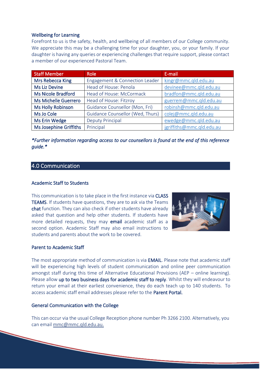### Wellbeing for Learning

Forefront to us is the safety, health, and wellbeing of all members of our College community. We appreciate this may be a challenging time for your daughter, you, or your family. If your daughter is having any queries or experiencing challenges that require support, please contact a member of our experienced Pastoral Team.

| <b>Staff Member</b>         | <b>Role</b>                      | E-mail                    |
|-----------------------------|----------------------------------|---------------------------|
| Mrs Rebecca King            | Engagement & Connection Leader   | kingr@mmc.qld.edu.au      |
| <b>Ms Liz Devine</b>        | Head of House: Penola            | devinee@mmc.qld.edu.au    |
| <b>Ms Nicole Bradford</b>   | Head of House: McCormack         | bradfon@mmc.qld.edu.au    |
| <b>Ms Michelle Guerrero</b> | Head of House: Fitzroy           | guerrem@mmc.qld.edu.au    |
| <b>Ms Holly Robinson</b>    | Guidance Counsellor (Mon, Fri)   | robinsh@mmc.qld.edu.au    |
| Ms Jo Cole                  | Guidance Counsellor (Wed, Thurs) | colej@mmc.qld.edu.au      |
| <b>Ms Erin Wedge</b>        | <b>Deputy Principal</b>          | ewedge@mmc.qld.edu.au     |
| Ms Josephine Griffiths      | Principal                        | jgriffiths@mmc.qld.edu.au |

*\*Further information regarding access to our counsellors is found at the end of this reference guide.\** 

# 4.0 Communication

#### Academic Staff to Students

This communication is to take place in the first instance via CLASS TEAMS. If students have questions, they are to ask via the Teams chat function. They can also check if other students have already asked that question and help other students. If students have more detailed requests, they may **email** academic staff as a second option. Academic Staff may also email instructions to students and parents about the work to be covered.



### Parent to Academic Staff

The most appropriate method of communication is via EMAIL. Please note that academic staff will be experiencing high levels of student communication and online peer communication amongst staff during this time of Alternative Educational Provisions (AEP – online learning). Please allow up to two business days for academic staff to reply. Whilst they will endeavour to return your email at their earliest convenience, they do each teach up to 140 students. To access academic staff email addresses please refer to the Parent Portal.

#### General Communication with the College

This can occur via the usual College Reception phone number Ph 3266 2100. Alternatively, you can email [mmc@mmc.qld.edu.au.](mailto:mmc@mmc.qld.edu.au)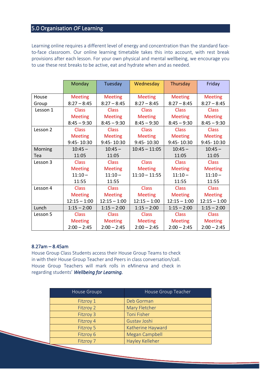# 5.0 Organisation *OF* Learning

Learning online requires a different level of energy and concentration than the standard faceto-face classroom. Our online learning timetable takes this into account, with rest break provisions after each lesson. For your own physical and mental wellbeing, we encourage you to use these rest breaks to be active, eat and hydrate when and as needed.

|          | Monday         | Tuesday        | Wednesday       | Thursday       | Friday         |
|----------|----------------|----------------|-----------------|----------------|----------------|
|          |                |                |                 |                |                |
| House    | <b>Meeting</b> | <b>Meeting</b> | <b>Meeting</b>  | <b>Meeting</b> | <b>Meeting</b> |
| Group    | $8:27 - 8:45$  | $8:27 - 8:45$  | $8:27 - 8:45$   | $8:27 - 8:45$  | $8:27 - 8:45$  |
| Lesson 1 | <b>Class</b>   | <b>Class</b>   | <b>Class</b>    | <b>Class</b>   | <b>Class</b>   |
|          | <b>Meeting</b> | <b>Meeting</b> | <b>Meeting</b>  | <b>Meeting</b> | <b>Meeting</b> |
|          | $8:45 - 9:30$  | $8:45 - 9:30$  | $8:45 - 9:30$   | $8:45 - 9:30$  | $8:45 - 9:30$  |
| Lesson 2 | <b>Class</b>   | <b>Class</b>   | <b>Class</b>    | <b>Class</b>   | <b>Class</b>   |
|          | <b>Meeting</b> | <b>Meeting</b> | <b>Meeting</b>  | <b>Meeting</b> | <b>Meeting</b> |
|          | 9:45-10:30     | 9:45-10:30     | 9:45-10:30      | 9:45-10:30     | 9:45-10:30     |
| Morning  | $10:45 -$      | $10:45 -$      | $10:45 - 11:05$ | $10:45 -$      | $10:45 -$      |
| Tea      | 11:05          | 11:05          |                 | 11:05          | 11:05          |
| Lesson 3 | <b>Class</b>   | <b>Class</b>   | <b>Class</b>    | <b>Class</b>   | <b>Class</b>   |
|          | <b>Meeting</b> | <b>Meeting</b> | <b>Meeting</b>  | <b>Meeting</b> | <b>Meeting</b> |
|          | $11:10 -$      | $11:10 -$      | $11:10 - 11:55$ | $11:10 -$      | $11:10 -$      |
|          | 11:55          | 11:55          |                 | 11:55          | 11:55          |
| Lesson 4 | <b>Class</b>   | <b>Class</b>   | <b>Class</b>    | <b>Class</b>   | <b>Class</b>   |
|          | <b>Meeting</b> | <b>Meeting</b> | <b>Meeting</b>  | <b>Meeting</b> | <b>Meeting</b> |
|          | $12:15 - 1:00$ | $12:15 - 1:00$ | $12:15 - 1:00$  | $12:15 - 1:00$ | $12:15 - 1:00$ |
| Lunch    | $1:15 - 2:00$  | $1:15 - 2:00$  | $1:15 - 2:00$   | $1:15 - 2:00$  | $1:15 - 2:00$  |
| Lesson 5 | <b>Class</b>   | <b>Class</b>   | <b>Class</b>    | <b>Class</b>   | <b>Class</b>   |
|          | <b>Meeting</b> | <b>Meeting</b> | <b>Meeting</b>  | <b>Meeting</b> | <b>Meeting</b> |
|          | $2:00 - 2:45$  | $2:00 - 2:45$  | $2:00 - 2:45$   | $2:00 - 2:45$  | $2:00 - 2:45$  |

#### 8.27am – 8.45am

House Group Class Students access their House Group Teams to check in with their House Group Teacher and Peers in class conversation/call. House Group Teachers will mark rolls in eMinerva and check in regarding students' *Wellbeing for Learning.*

| House Groups     | House Group Teacher   |
|------------------|-----------------------|
| Fitzroy 1        | Deb Gorman            |
| Fitzroy 2        | Mary Fletcher         |
| Fitzroy 3        | <b>Toni Fisher</b>    |
| Fitzroy 4        | Gustav Joshi          |
| <b>Fitzroy 5</b> | Katherine Hayward     |
| Fitzroy 6        | <b>Megan Campbell</b> |
| Fitzroy 7        | Hayley Kelleher       |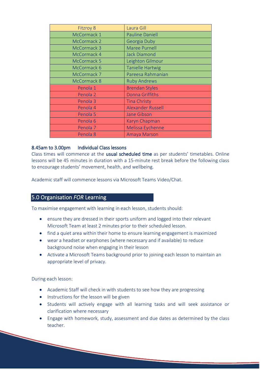| <b>Fitzroy 8</b>    | Laura Gill               |
|---------------------|--------------------------|
| McCormack 1         | <b>Pauline Daniell</b>   |
| McCormack 2         | Georgia Duby             |
| McCormack 3         | <b>Maree Purnell</b>     |
| McCormack 4         | <b>Jack Diamond</b>      |
| McCormack 5         | Leighton Gilmour         |
| McCormack 6         | <b>Tanielle Hartwig</b>  |
| McCormack 7         | Pareesa Rahmanian        |
| McCormack 8         | <b>Ruby Andrews</b>      |
| Penola 1            | <b>Brendan Styles</b>    |
| Penola 2            | <b>Donna Griffiths</b>   |
| Penola 3            | <b>Tina Christy</b>      |
| Penola 4            | <b>Alexander Russell</b> |
| Penola <sub>5</sub> | <b>Jane Gibson</b>       |
| Penola <sub>6</sub> | <b>Karyn Chapman</b>     |
| Penola <sub>7</sub> | Melissa Eychenne         |
| Penola 8            | <b>Amaya Marson</b>      |

# 8.45am to 3.00pm Individual Class lessons

Class times will commence at the usual scheduled time as per students' timetables. Online lessons will be 45 minutes in duration with a 15-minute rest break before the following class to encourage students' movement, health, and wellbeing.

Academic staff will commence lessons via Microsoft Teams Video/Chat.

# 5.0 Organisation *FOR* Learning

To maximise engagement with learning in each lesson, students should:

- ensure they are dressed in their sports uniform and logged into their relevant Microsoft Team at least 2 minutes prior to their scheduled lesson.
- find a quiet area within their home to ensure learning engagement is maximized
- wear a headset or earphones (where necessary and if available) to reduce background noise when engaging in their lesson
- Activate a Microsoft Teams background prior to joining each lesson to maintain an appropriate level of privacy.

During each lesson:

- Academic Staff will check in with students to see how they are progressing
- Instructions for the lesson will be given
- Students will actively engage with all learning tasks and will seek assistance or clarification where necessary
- Engage with homework, study, assessment and due dates as determined by the class teacher.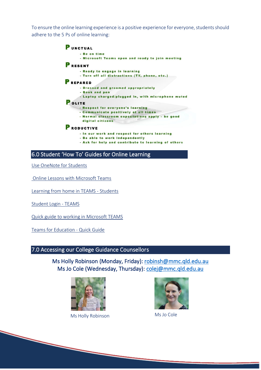To ensure the online learning experience is a positive experience for everyone, students should adhere to the 5 Ps of online learning:

| <b>PUNCTUAL</b>                                     |
|-----------------------------------------------------|
| - Be on time                                        |
| - Microsoft Teams open and ready to join meeting    |
| <b>PRESENT</b>                                      |
| - Ready to engage in learning                       |
| - Turn off all distractions (TV, phone, etc.)       |
| REPARED                                             |
| - Dressed and groomed appropriately                 |
| - Book and pen                                      |
| - Laptop charged/plugged in, with microphone muted  |
| OLITE                                               |
| - Respect for everyone's learning                   |
| - Communicate positively at all times               |
| - Normal classroom expectations apply - be good     |
| digital citizens                                    |
| RODUCTIVE                                           |
| - In our work and respect for others learning       |
| - Be able to work independently                     |
| - Ask for help and contribute to learning of others |

6.0 Student 'How To' Guides for Online Learning

[Use OneNote for Students](https://www.youtube.com/watch?v=GPxfNXH9LUo)

[Online Lessons with Microsoft Teams](https://www.youtube.com/watch?v=cN5ypuZF1bI)

[Learning from home in TEAMS -](https://mybcecatholicedu.sharepoint.com/sites/sp-mmcp/student/Digitech/Forms/AllItems.aspx?id=%2Fsites%2Fsp%2Dmmcp%2Fstudent%2FDigitech%2FMMCP%20Student%20Documents%2FLearning%20from%20home%20in%20TEAMS%20%2D%20students%2Epdf&parent=%2Fsites%2Fsp%2Dmmcp%2Fstudent%2FDigitech%2FMMCP%20Student%20Documents) Students

[Student Login -](https://mybcecatholicedu.sharepoint.com/sites/sp-mmcp/student/Digitech/Forms/AllItems.aspx?id=%2Fsites%2Fsp%2Dmmcp%2Fstudent%2FDigitech%2FMMCP%20Student%20Documents%2FStudent%20Login%20%2D%20Teams%2Epdf&parent=%2Fsites%2Fsp%2Dmmcp%2Fstudent%2FDigitech%2FMMCP%20Student%20Documents) TEAMS

[Quick guide to working in Microsoft TEAMS](https://mybcecatholicedu.sharepoint.com/sites/sp-mmcp/student/Digitech/Forms/AllItems.aspx?id=%2Fsites%2Fsp%2Dmmcp%2Fstudent%2FDigitech%2FMMCP%20Student%20Documents%2FQuick%20Guide%20to%20Microsoft%20Teams%2Epdf&parent=%2Fsites%2Fsp%2Dmmcp%2Fstudent%2FDigitech%2FMMCP%20Student%20Documents)

[Teams for Education -](https://mybcecatholicedu.sharepoint.com/sites/sp-mmcp/student/Digitech/Forms/AllItems.aspx?id=%2Fsites%2Fsp%2Dmmcp%2Fstudent%2FDigitech%2FMMCP%20Student%20Documents%2FTeamsforEducation%5FQuickGuide%2Epdf&parent=%2Fsites%2Fsp%2Dmmcp%2Fstudent%2FDigitech%2FMMCP%20Student%20Documents) Quick Guide

# 7.0 Accessing our College Guidance Counsellors

Ms Holly Robinson (Monday, Friday): [robinsh@mmc.qld.edu.au](mailto:robinsh@mmc.qld.edu.au)  Ms Jo Cole (Wednesday, Thursday): colej@mmc.qld.edu.au



Ms Holly Robinson Ms Jo Cole

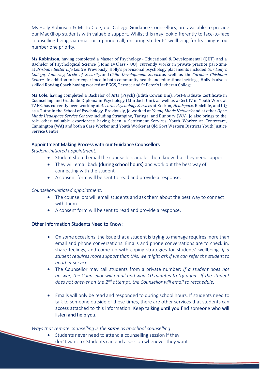Ms Holly Robinson & Ms Jo Cole, our College Guidance Counsellors, are available to provide our MacKillop students with valuable support. Whilst this may look differently to face-to-face counselling being via email or a phone call, ensuring students' wellbeing for learning is our number one priority.

**Ms Robinison**, having completed a Master of Psychology - Educational & Developmental (QUT) and a Bachelor of Psychological Science (Hons 1st Class - UQ), currently works in private practice part-time at *Brisbane Better Life Centre.* Previously, Holly's provisional psychology placements included *Our Lady's College, Annerley*; *Circle of Security,* and *Child Development Service* as well as the *Caroline Chisholm Centre*. In addition to her experience in both community health and educational settings, Holly is also a skilled Rowing Coach having worked at BGGS, Terrace and St Peter's Lutheran College.

**Ms Cole**, having completed a Bachelor of Arts (Psych) (Edith Cowan Uni), Post-Graduate Certificate in Counselling and Graduate Diploma in Psychology (Murdoch Uni), as well as a Cert IV in Youth Work at TAFE, has currently been working at *Accoras Psychology Services* at Kedron, *Headspace*, Redcliffe, and UQ as a Tutor in the School of Psychology. Previously, Jo worked at *Young Minds Network* and at other *Open Minds Headspace Service Centres* including Strathpine, Taringa, and Bunbury (WA). Jo also brings to the role other valuable experiences having been a Settlement Services Youth Worker at Centrecare, Cannington (WA) and both a Case Worker and Youth Worker at Qld Govt Western Districts Youth Justice Service Centre.

## Appointment Making Process with our Guidance Counsellors

*Student-initiated appointment:*

- Student should email the counsellors and let them know that they need support
- They will email back (during school hours) and work out the best way of connecting with the student
- A consent form will be sent to read and provide a response.

#### *Counsellor-initiated appointment:*

- The counsellors will email students and ask them about the best way to connect with them
- A consent form will be sent to read and provide a response.

## Other Information Students Need to Know:

- On some occasions, the issue that a student is trying to manage requires more than email and phone conversations. Emails and phone conversations are to check in, share feelings, and come up with coping strategies for students' wellbeing. *If a student requires more support than this, we might ask if we can refer the student to another service.*
- The Counsellor may call students from a private number: *If a student does not answer, the Counsellor will email and wait 10 minutes to try again. If the student does not answer on the 2nd attempt, the Counsellor will email to reschedule.*
- Emails will only be read and responded to during school hours. If students need to talk to someone outside of these times, there are other services that students can access attached to this information. Keep talking until you find someone who will listen and help you.

#### *Ways that remote counselling is the same as at-school counselling*

- Students never need to attend a counselling session if they
	- don't want to. Students can end a session whenever they want.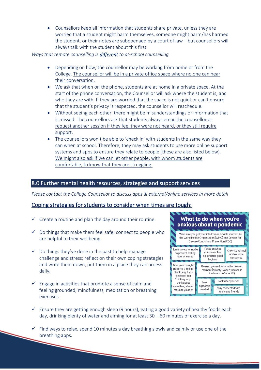• Counsellors keep all information that students share private, unless they are worried that a student might harm themselves, someone might harm/has harmed the student, or their notes are subpoenaed by a court of law – but counsellors will always talk with the student about this first.

# *Ways that remote counselling is different to at-school counselling*

- Depending on how, the counsellor may be working from home or from the College*.* The counsellor will be in a private office space where no one can hear their conversation.
- We ask that when on the phone, students are at home in a private space. At the start of the phone conversation, the Counsellor will ask where the student is, and who they are with. If they are worried that the space is not quiet or can't ensure that the student's privacy is respected, the counsellor will reschedule.
- Without seeing each other, there might be misunderstandings or information that is missed. The counsellors ask that students always email the counsellor or request another session if they feel they were not heard, or they still require support.
- The counsellors won't be able to 'check in' with students in the same way they can when at school. Therefore, they may ask students to use more online support systems and apps to ensure they relate to people (these are also listed below). We might also ask if we can let other people, with whom students are comfortable, to know that they are struggling.

# 8.0 Further mental health resources, strategies and support services

*Please contact the College Counsellor to discuss apps & external/online services in more detail*

# Coping strategies for students to consider when times are tough:

- $\checkmark$  Create a routine and plan the day around their routine.
- $\checkmark$  Do things that make them feel safe; connect to people who are helpful to their wellbeing.
- $\checkmark$  Do things they've done in the past to help manage challenge and stress; reflect on their own coping strategies and write them down, put them in a place they can access daily.
- $\checkmark$  Engage in activities that promote a sense of calm and feeling grounded; mindfulness, meditation or breathing exercises.

ì

#### What to do when you're anxious about a pandemic Make sure you get your info from reputable sources like the World Health Organisation (WHO) and Centers for Disease Control and Prevention (CDC) Focus on what Limit access to media Know it's norma vou can control. to prevent feeling and ok to be e.g. practice good overwhelmed concerned hygiene Give your thought Remind yourself to be in the present patterns a 'reality moment (anxiety is often focused in check', e.g. if you the future on 'what ifs') get stuck in a thinking loop'. Look after yourself Seek think about support if something else, or Stay connected with needed reassure yourself family and friends

- $\checkmark$  Ensure they are getting enough sleep (9 hours), eating a good variety of healthy foods each day, drinking plenty of water and aiming for at least 30 – 60 minutes of exercise a day.
- $\checkmark$  Find ways to relax, spend 10 minutes a day breathing slowly and calmly or use one of the breathing apps.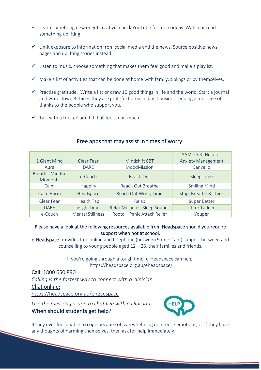- $\checkmark$  Learn something new or get creative; check YouTube for more ideas. Watch or read something uplifting.
- $\checkmark$  Limit exposure to information from social media and the news. Source positive news pages and uplifting stories instead.
- $\checkmark$  Listen to music, choose something that makes them feel good and make a playlist.
- $\checkmark$  Make a list of activities that can be done at home with family, siblings or by themselves.
- $\checkmark$  Practise gratitude. Write a list or draw 10 good things in life and the world. Start a journal and write down 3 things they are grateful for each day. Consider sending a message of thanks to the people who support you.
- $\checkmark$  Talk with a trusted adult if it all feels a bit much.

|                                           |                         |                              | SAM - Self Help for       |
|-------------------------------------------|-------------------------|------------------------------|---------------------------|
| 1 Giant Mind                              | Clear Fear              | Mindshift CBT                | <b>Anxiety Management</b> |
| Aura                                      | <b>DARE</b>             | MoodMission                  | Sanvello                  |
| <b>Breathr: Mindful</b><br><b>Moments</b> | e-Couch                 | Reach Out                    | <b>Sleep Time</b>         |
| Calm                                      | <b>Happify</b>          | Reach Out Breathe            | <b>Smiling Mind</b>       |
| Calm Harm                                 | Headspace               | Reach Out Worry Time         | Stop, Breathe & Think     |
| Clear Fear                                | <b>Health Tap</b>       | Relax                        | <b>Super Better</b>       |
| <b>DARE</b>                               | Insight timer           | Relax Melodies: Sleep Sounds | <b>Think Ladder</b>       |
| e-Couch                                   | <b>Mental Stillness</b> | Rootd - Panic Attack Relief  | Youper                    |

# Free apps that may assist in times of worry:

# Please have a look at the following resources available from Headspace should you require support when not at school.

e-Headspace provides free online and telephone (between 9am – 1am) support between and counselling to young people aged 12 – 25, their families and friends.

> If you're going through a tough time, e-Headspace can help. <https://headspace.org.au/eheadspace/>

Call: [1800](tel:1800%20650%20890) 650 890 *Calling is the fastest way to connect with a clinician.* Chat online: <https://headspace.org.au/eheadspace>

*Use the messenger app to chat live with a clinician* When should students get help?



If they ever feel unable to cope because of overwhelming or intense emotions, or if they have any thoughts of harming themselves, then ask for help immediately.